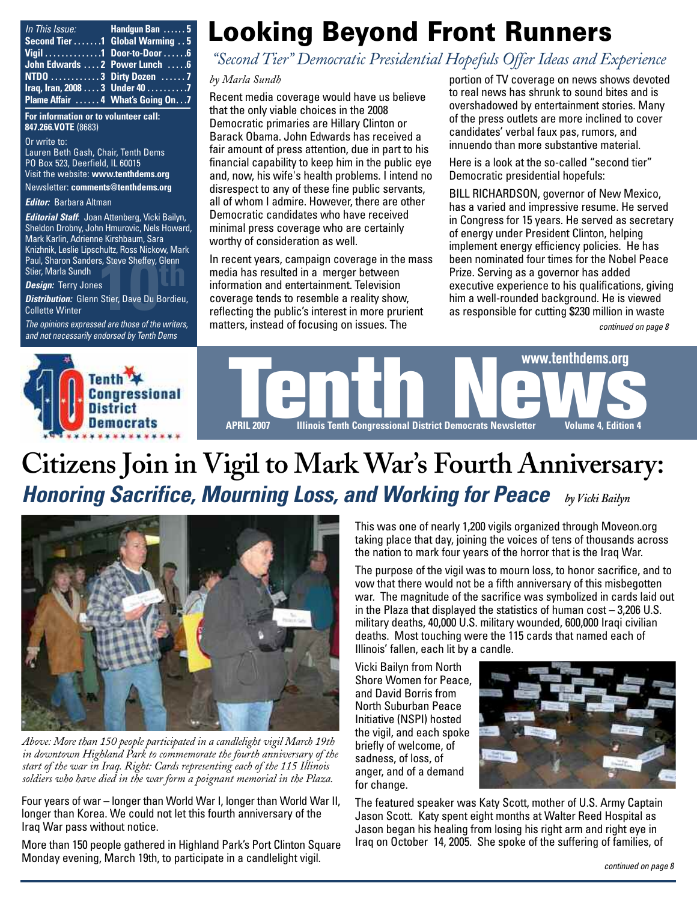| In This Issue: $\overline{\mathbf{H}}$ Handgun Ban $\dots \dots$ 5 |  |
|--------------------------------------------------------------------|--|
| Second Tier 1 Global Warming 5                                     |  |
| Vigil $\dots\dots\dots\dots1$ Door-to-Door $\dots\dots6$           |  |
| John Edwards  . 2 Power Lunch  6                                   |  |
| NTDO 3 Dirty Dozen 7                                               |  |
| Iraq, Iran, 2008 3 Under 40 7                                      |  |
| Plame Affair  4 What's Going On7                                   |  |

**For information or to volunteer call: 847.266.VOTE** (8683)

Or write to:

Lauren Beth Gash, Chair, Tenth Dems PO Box 523, Deerfield, IL 60015 Visit the website: **[www.tenthdems.org](http://www.tenthdems.org)**  Newsletter: **[comments@tenthdems.org](mailto:comments@tenthdems.org)**

#### *Editor:* Barbara Altman

*Editorial Staff*: Joan Attenberg, Vicki Bailyn, Sheldon Drobny, John Hmurovic, Nels Howard, Mark Karlin, Adrienne Kirshbaum, Sara Knizhnik, Leslie Lipschultz, Ross Nickow, Mark Paul, Sharon Sanders, Steve Sheffey, Glenn Stier, Marla Sundh

*Design:* Terry Jones

### **10th** Sheffey, Glenn<br>**10th**<br>10ther, Dave Du Bordieu<br>10th arc those of the writers *Distribution:* Glenn Stier, Dave Du Bordieu, Collette Winter

*The opinions expressed are those of the writers, and not necessarily endorsed by Tenth Dems*

## **Looking Beyond Front Runners**

*"Second Tier" Democratic Presidential Hopefuls Offer Ideas and Experience*

#### *by Marla Sundh*

Recent media coverage would have us believe that the only viable choices in the 2008 Democratic primaries are Hillary Clinton or Barack Obama. John Edwards has received a fair amount of press attention, due in part to his financial capability to keep him in the public eye and, now, his wife's health problems. I intend no disrespect to any of these fine public servants, all of whom I admire. However, there are other Democratic candidates who have received minimal press coverage who are certainly worthy of consideration as well.

In recent years, campaign coverage in the mass media has resulted in a merger between information and entertainment. Television coverage tends to resemble a reality show, reflecting the public's interest in more prurient matters, instead of focusing on issues. The

portion of TV coverage on news shows devoted to real news has shrunk to sound bites and is overshadowed by entertainment stories. Many of the press outlets are more inclined to cover candidates' verbal faux pas, rumors, and innuendo than more substantive material.

Here is a look at the so-called "second tier" Democratic presidential hopefuls:

BILL RICHARDSON, governor of New Mexico, has a varied and impressive resume. He served in Congress for 15 years. He served as secretary of energy under President Clinton, helping implement energy efficiency policies. He has been nominated four times for the Nobel Peace Prize. Serving as a governor has added executive experience to his qualifications, giving him a well-rounded background. He is viewed as responsible for cutting \$230 million in waste

*continued on page 8*



## **Citizens Join in Vigil to Mark War's Fourth Anniversary:** *Honoring Sacrifice, Mourning Loss, and Working for Peace by Vicki Bailyn*



*Above: More than 150 people participated in a candlelight vigil March 19th in downtown Highland Park to commemorate the fourth anniversary of the start of the war in Iraq. Right: Cards representing each of the 115 Illinois soldiers who have died in the war form a poignant memorial in the Plaza.*

Four years of war – longer than World War I, longer than World War II, longer than Korea. We could not let this fourth anniversary of the Iraq War pass without notice.

More than 150 people gathered in Highland Park's Port Clinton Square Monday evening, March 19th, to participate in a candlelight vigil.

This was one of nearly 1,200 vigils organized through Moveon.org taking place that day, joining the voices of tens of thousands across the nation to mark four years of the horror that is the Iraq War.

The purpose of the vigil was to mourn loss, to honor sacrifice, and to vow that there would not be a fifth anniversary of this misbegotten war. The magnitude of the sacrifice was symbolized in cards laid out in the Plaza that displayed the statistics of human cost – 3,206 U.S. military deaths, 40,000 U.S. military wounded, 600,000 Iraqi civilian deaths. Most touching were the 115 cards that named each of Illinois' fallen, each lit by a candle.

Vicki Bailyn from North Shore Women for Peace, and David Borris from North Suburban Peace Initiative (NSPI) hosted the vigil, and each spoke briefly of welcome, of sadness, of loss, of anger, and of a demand for change.



The featured speaker was Katy Scott, mother of U.S. Army Captain Jason Scott. Katy spent eight months at Walter Reed Hospital as Jason began his healing from losing his right arm and right eye in Iraq on October 14, 2005. She spoke of the suffering of families, of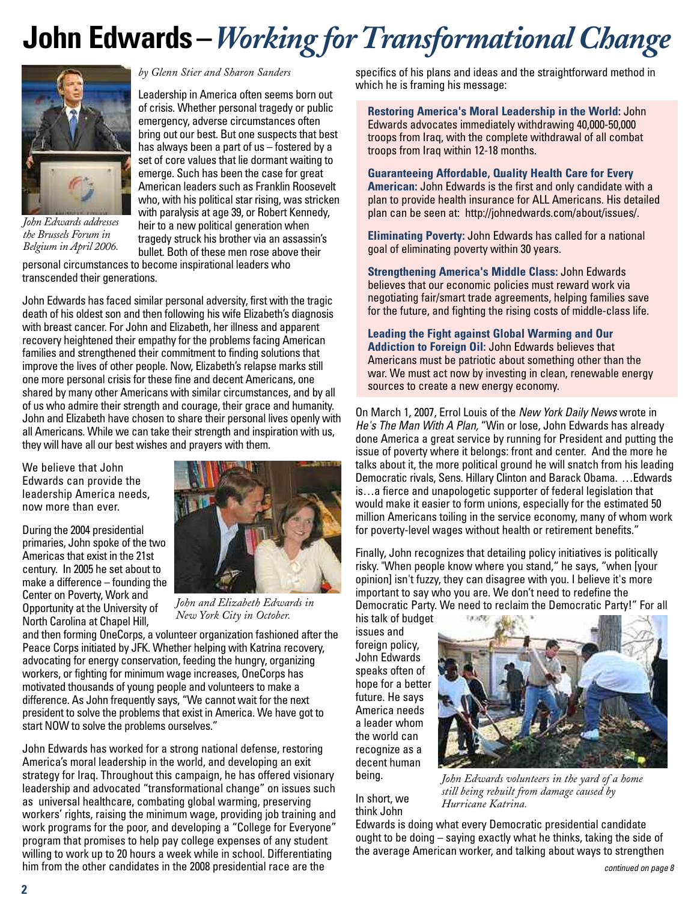# **John Edwards –***Working for Transformational Change*



*John Edwards addresses the Brussels Forum in Belgium in April 2006.*

personal circumstances to become inspirational leaders who transcended their generations.

John Edwards has faced similar personal adversity, first with the tragic death of his oldest son and then following his wife Elizabeth's diagnosis with breast cancer. For John and Elizabeth, her illness and apparent recovery heightened their empathy for the problems facing American families and strengthened their commitment to finding solutions that improve the lives of other people. Now, Elizabeth's relapse marks still one more personal crisis for these fine and decent Americans, one shared by many other Americans with similar circumstances, and by all of us who admire their strength and courage, their grace and humanity. John and Elizabeth have chosen to share their personal lives openly with all Americans. While we can take their strength and inspiration with us, they will have all our best wishes and prayers with them.

*by Glenn Stier and Sharon Sanders* 

Leadership in America often seems born out of crisis. Whether personal tragedy or public emergency, adverse circumstances often bring out our best. But one suspects that best has always been a part of us – fostered by a set of core values that lie dormant waiting to emerge. Such has been the case for great American leaders such as Franklin Roosevelt who, with his political star rising, was stricken with paralysis at age 39, or Robert Kennedy, heir to a new political generation when tragedy struck his brother via an assassin's bullet. Both of these men rose above their

We believe that John Edwards can provide the leadership America needs, now more than ever.

During the 2004 presidential primaries, John spoke of the two Americas that exist in the 21st century. In 2005 he set about to make a difference – founding the Center on Poverty, Work and Opportunity at the University of North Carolina at Chapel Hill,



*John and Elizabeth Edwards in New York City in October.*

and then forming OneCorps, a volunteer organization fashioned after the Peace Corps initiated by JFK. Whether helping with Katrina recovery, advocating for energy conservation, feeding the hungry, organizing workers, or fighting for minimum wage increases, OneCorps has motivated thousands of young people and volunteers to make a difference. As John frequently says, "We cannot wait for the next president to solve the problems that exist in America. We have got to start NOW to solve the problems ourselves."

John Edwards has worked for a strong national defense, restoring America's moral leadership in the world, and developing an exit strategy for Iraq. Throughout this campaign, he has offered visionary leadership and advocated "transformational change" on issues such as universal healthcare, combating global warming, preserving workers' rights, raising the minimum wage, providing job training and work programs for the poor, and developing a "College for Everyone" program that promises to help pay college expenses of any student willing to work up to 20 hours a week while in school. Differentiating him from the other candidates in the 2008 presidential race are the

specifics of his plans and ideas and the straightforward method in which he is framing his message:

**Restoring America's Moral Leadership in the World:** John Edwards advocates immediately withdrawing 40,000-50,000 troops from Iraq, with the complete withdrawal of all combat troops from Iraq within 12-18 months.

#### **Guaranteeing Affordable, Quality Health Care for Every**

**American:** John Edwards is the first and only candidate with a plan to provide health insurance for ALL Americans. His detailed plan can be seen at: [http://johnedwards.com/about/issue](http://johnedwards.com/about/issues)s/.

**Eliminating Poverty:** John Edwards has called for a national goal of eliminating poverty within 30 years.

**Strengthening America's Middle Class:** John Edwards believes that our economic policies must reward work via negotiating fair/smart trade agreements, helping families save for the future, and fighting the rising costs of middle-class life.

**Leading the Fight against Global Warming and Our Addiction to Foreign Oil:** John Edwards believes that Americans must be patriotic about something other than the war. We must act now by investing in clean, renewable energy sources to create a new energy economy.

On March 1, 2007, Errol Louis of the *New York Daily News* wrote in *He's The Man With A Plan,* "Win or lose, John Edwards has already done America a great service by running for President and putting the issue of poverty where it belongs: front and center. And the more he talks about it, the more political ground he will snatch from his leading Democratic rivals, Sens. Hillary Clinton and Barack Obama. …Edwards is…a fierce and unapologetic supporter of federal legislation that would make it easier to form unions, especially for the estimated 50 million Americans toiling in the service economy, many of whom work for poverty-level wages without health or retirement benefits."

Finally, John recognizes that detailing policy initiatives is politically risky. "When people know where you stand," he says, "when [your opinion] isn't fuzzy, they can disagree with you. I believe it's more important to say who you are. We don't need to redefine the Democratic Party. We need to reclaim the Democratic Party!" For all

his talk of budget issues and foreign policy, John Edwards speaks often of hope for a better future. He says America needs a leader whom the world can recognize as a decent human being.

In short, we think John

*John Edwards volunteers in the yard of a home still being rebuilt from damage caused by Hurricane Katrina.*

Edwards is doing what every Democratic presidential candidate ought to be doing – saying exactly what he thinks, taking the side of the average American worker, and talking about ways to strengthen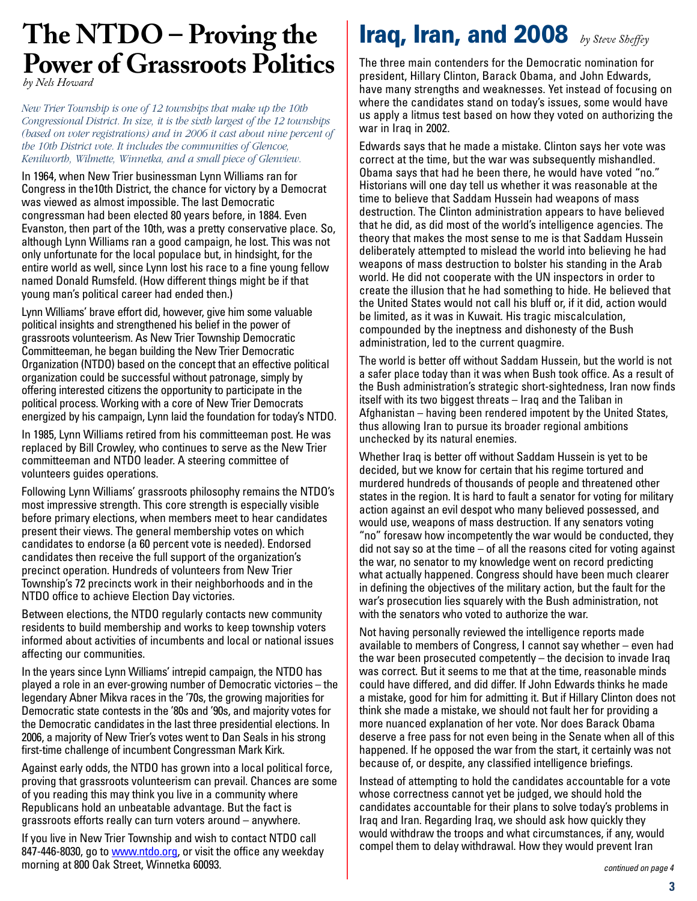## **The NTDO – Proving the Power of Grassroots Politics**

*by Nels Howard*

*New Trier Township is one of 12 townships that make up the 10th Congressional District. In size, it is the sixth largest of the 12 townships (based on voter registrations) and in 2006 it cast about nine percent of the 10th District vote. It includes the communities of Glencoe, Kenilworth, Wilmette, Winnetka, and a small piece of Glenview.*

In 1964, when New Trier businessman Lynn Williams ran for Congress in the10th District, the chance for victory by a Democrat was viewed as almost impossible. The last Democratic congressman had been elected 80 years before, in 1884. Even Evanston, then part of the 10th, was a pretty conservative place. So, although Lynn Williams ran a good campaign, he lost. This was not only unfortunate for the local populace but, in hindsight, for the entire world as well, since Lynn lost his race to a fine young fellow named Donald Rumsfeld. (How different things might be if that young man's political career had ended then.)

Lynn Williams' brave effort did, however, give him some valuable political insights and strengthened his belief in the power of grassroots volunteerism. As New Trier Township Democratic Committeeman, he began building the New Trier Democratic Organization (NTDO) based on the concept that an effective political organization could be successful without patronage, simply by offering interested citizens the opportunity to participate in the political process. Working with a core of New Trier Democrats energized by his campaign, Lynn laid the foundation for today's NTDO.

In 1985, Lynn Williams retired from his committeeman post. He was replaced by Bill Crowley, who continues to serve as the New Trier committeeman and NTDO leader. A steering committee of volunteers guides operations.

Following Lynn Williams' grassroots philosophy remains the NTDO's most impressive strength. This core strength is especially visible before primary elections, when members meet to hear candidates present their views. The general membership votes on which candidates to endorse (a 60 percent vote is needed). Endorsed candidates then receive the full support of the organization's precinct operation. Hundreds of volunteers from New Trier Township's 72 precincts work in their neighborhoods and in the NTDO office to achieve Election Day victories.

Between elections, the NTDO regularly contacts new community residents to build membership and works to keep township voters informed about activities of incumbents and local or national issues affecting our communities.

In the years since Lynn Williams' intrepid campaign, the NTDO has played a role in an ever-growing number of Democratic victories – the legendary Abner Mikva races in the '70s, the growing majorities for Democratic state contests in the '80s and '90s, and majority votes for the Democratic candidates in the last three presidential elections. In 2006, a majority of New Trier's votes went to Dan Seals in his strong first-time challenge of incumbent Congressman Mark Kirk.

Against early odds, the NTDO has grown into a local political force, proving that grassroots volunteerism can prevail. Chances are some of you reading this may think you live in a community where Republicans hold an unbeatable advantage. But the fact is grassroots efforts really can turn voters around – anywhere.

If you live in New Trier Township and wish to contact NTDO call 847-446-8030, go to [www.ntdo.org,](http://www.ntdo.org) or visit the office any weekday morning at 800 Oak Street, Winnetka 60093.

## **Iraq, Iran, and 2008** *by Steve Sheffey*

The three main contenders for the Democratic nomination for president, Hillary Clinton, Barack Obama, and John Edwards, have many strengths and weaknesses. Yet instead of focusing on where the candidates stand on today's issues, some would have us apply a litmus test based on how they voted on authorizing the war in Iraq in 2002.

Edwards says that he made a mistake. Clinton says her vote was correct at the time, but the war was subsequently mishandled. Obama says that had he been there, he would have voted "no." Historians will one day tell us whether it was reasonable at the time to believe that Saddam Hussein had weapons of mass destruction. The Clinton administration appears to have believed that he did, as did most of the world's intelligence agencies. The theory that makes the most sense to me is that Saddam Hussein deliberately attempted to mislead the world into believing he had weapons of mass destruction to bolster his standing in the Arab world. He did not cooperate with the UN inspectors in order to create the illusion that he had something to hide. He believed that the United States would not call his bluff or, if it did, action would be limited, as it was in Kuwait. His tragic miscalculation, compounded by the ineptness and dishonesty of the Bush administration, led to the current quagmire.

The world is better off without Saddam Hussein, but the world is not a safer place today than it was when Bush took office. As a result of the Bush administration's strategic short-sightedness, Iran now finds itself with its two biggest threats – Iraq and the Taliban in Afghanistan – having been rendered impotent by the United States, thus allowing Iran to pursue its broader regional ambitions unchecked by its natural enemies.

Whether Iraq is better off without Saddam Hussein is yet to be decided, but we know for certain that his regime tortured and murdered hundreds of thousands of people and threatened other states in the region. It is hard to fault a senator for voting for military action against an evil despot who many believed possessed, and would use, weapons of mass destruction. If any senators voting "no" foresaw how incompetently the war would be conducted, they  $\frac{d}{dx}$  and say so at the time – of all the reasons cited for voting against the war, no senator to my knowledge went on record predicting what actually happened. Congress should have been much clearer in defining the objectives of the military action, but the fault for the war's prosecution lies squarely with the Bush administration, not with the senators who voted to authorize the war.

Not having personally reviewed the intelligence reports made available to members of Congress, I cannot say whether – even had the war been prosecuted competently – the decision to invade Iraq was correct. But it seems to me that at the time, reasonable minds could have differed, and did differ. If John Edwards thinks he made a mistake, good for him for admitting it. But if Hillary Clinton does not think she made a mistake, we should not fault her for providing a more nuanced explanation of her vote. Nor does Barack Obama deserve a free pass for not even being in the Senate when all of this happened. If he opposed the war from the start, it certainly was not because of, or despite, any classified intelligence briefings.

Instead of attempting to hold the candidates accountable for a vote whose correctness cannot yet be judged, we should hold the candidates accountable for their plans to solve today's problems in Iraq and Iran. Regarding Iraq, we should ask how quickly they would withdraw the troops and what circumstances, if any, would compel them to delay withdrawal. How they would prevent Iran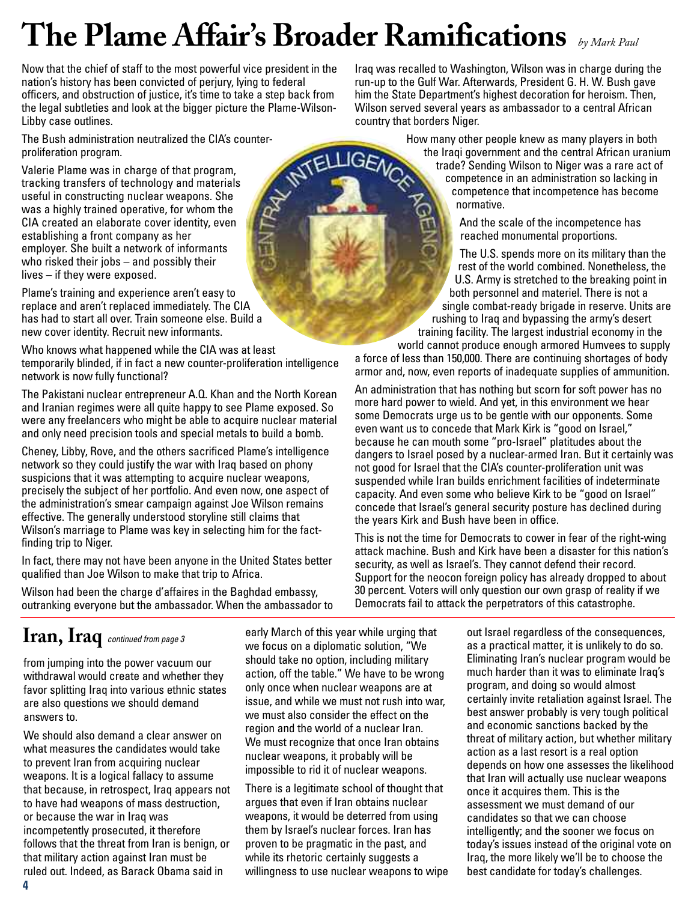# **The Plame Affair's Broader Ramifications** *by Mark Paul*

GENC

Now that the chief of staff to the most powerful vice president in the nation's history has been convicted of perjury, lying to federal officers, and obstruction of justice, it's time to take a step back from the legal subtleties and look at the bigger picture the Plame-Wilson-Libby case outlines.

The Bush administration neutralized the CIA's counterproliferation program.

Valerie Plame was in charge of that program, tracking transfers of technology and materials useful in constructing nuclear weapons. She was a highly trained operative, for whom the CIA created an elaborate cover identity, even establishing a front company as her employer. She built a network of informants who risked their jobs – and possibly their lives – if they were exposed.

Plame's training and experience aren't easy to replace and aren't replaced immediately. The CIA has had to start all over. Train someone else. Build a new cover identity. Recruit new informants.

Who knows what happened while the CIA was at least temporarily blinded, if in fact a new counter-proliferation intelligence network is now fully functional?

The Pakistani nuclear entrepreneur A.Q. Khan and the North Korean and Iranian regimes were all quite happy to see Plame exposed. So were any freelancers who might be able to acquire nuclear material and only need precision tools and special metals to build a bomb.

Cheney, Libby, Rove, and the others sacrificed Plame's intelligence network so they could justify the war with Iraq based on phony suspicions that it was attempting to acquire nuclear weapons, precisely the subject of her portfolio. And even now, one aspect of the administration's smear campaign against Joe Wilson remains effective. The generally understood storyline still claims that Wilson's marriage to Plame was key in selecting him for the factfinding trip to Niger.

In fact, there may not have been anyone in the United States better qualified than Joe Wilson to make that trip to Africa.

Wilson had been the charge d'affaires in the Baghdad embassy, outranking everyone but the ambassador. When the ambassador to

**Iran, Iraq** *continued from page 3*

from jumping into the power vacuum our withdrawal would create and whether they favor splitting Iraq into various ethnic states are also questions we should demand answers to.

We should also demand a clear answer on what measures the candidates would take to prevent Iran from acquiring nuclear weapons. It is a logical fallacy to assume that because, in retrospect, Iraq appears not to have had weapons of mass destruction, or because the war in Iraq was incompetently prosecuted, it therefore follows that the threat from Iran is benign, or that military action against Iran must be ruled out. Indeed, as Barack Obama said in

early March of this year while urging that we focus on a diplomatic solution, "We should take no option, including military action, off the table." We have to be wrong only once when nuclear weapons are at issue, and while we must not rush into war, we must also consider the effect on the region and the world of a nuclear Iran. We must recognize that once Iran obtains nuclear weapons, it probably will be impossible to rid it of nuclear weapons.

There is a legitimate school of thought that argues that even if Iran obtains nuclear weapons, it would be deterred from using them by Israel's nuclear forces. Iran has proven to be pragmatic in the past, and while its rhetoric certainly suggests a willingness to use nuclear weapons to wipe

Iraq was recalled to Washington, Wilson was in charge during the run-up to the Gulf War. Afterwards, President G. H. W. Bush gave him the State Department's highest decoration for heroism. Then, Wilson served several years as ambassador to a central African country that borders Niger.

> How many other people knew as many players in both the Iraqi government and the central African uranium trade? Sending Wilson to Niger was a rare act of competence in an administration so lacking in competence that incompetence has become normative.

And the scale of the incompetence has reached monumental proportions.

The U.S. spends more on its military than the rest of the world combined. Nonetheless, the U.S. Army is stretched to the breaking point in both personnel and materiel. There is not a single combat-ready brigade in reserve. Units are rushing to Iraq and bypassing the army's desert training facility. The largest industrial economy in the

world cannot produce enough armored Humvees to supply a force of less than 150,000. There are continuing shortages of body armor and, now, even reports of inadequate supplies of ammunition.

An administration that has nothing but scorn for soft power has no more hard power to wield. And yet, in this environment we hear some Democrats urge us to be gentle with our opponents. Some even want us to concede that Mark Kirk is "good on Israel," because he can mouth some "pro-Israel" platitudes about the dangers to Israel posed by a nuclear-armed Iran. But it certainly was not good for Israel that the CIA's counter-proliferation unit was suspended while Iran builds enrichment facilities of indeterminate capacity. And even some who believe Kirk to be "good on Israel" concede that Israel's general security posture has declined during the years Kirk and Bush have been in office.

This is not the time for Democrats to cower in fear of the right-wing attack machine. Bush and Kirk have been a disaster for this nation's security, as well as Israel's. They cannot defend their record. Support for the neocon foreign policy has already dropped to about 30 percent. Voters will only question our own grasp of reality if we Democrats fail to attack the perpetrators of this catastrophe.

> out Israel regardless of the consequences, as a practical matter, it is unlikely to do so. Eliminating Iran's nuclear program would be much harder than it was to eliminate Iraq's program, and doing so would almost certainly invite retaliation against Israel. The best answer probably is very tough political and economic sanctions backed by the threat of military action, but whether military action as a last resort is a real option depends on how one assesses the likelihood that Iran will actually use nuclear weapons once it acquires them. This is the assessment we must demand of our candidates so that we can choose intelligently; and the sooner we focus on today's issues instead of the original vote on Iraq, the more likely we'll be to choose the best candidate for today's challenges.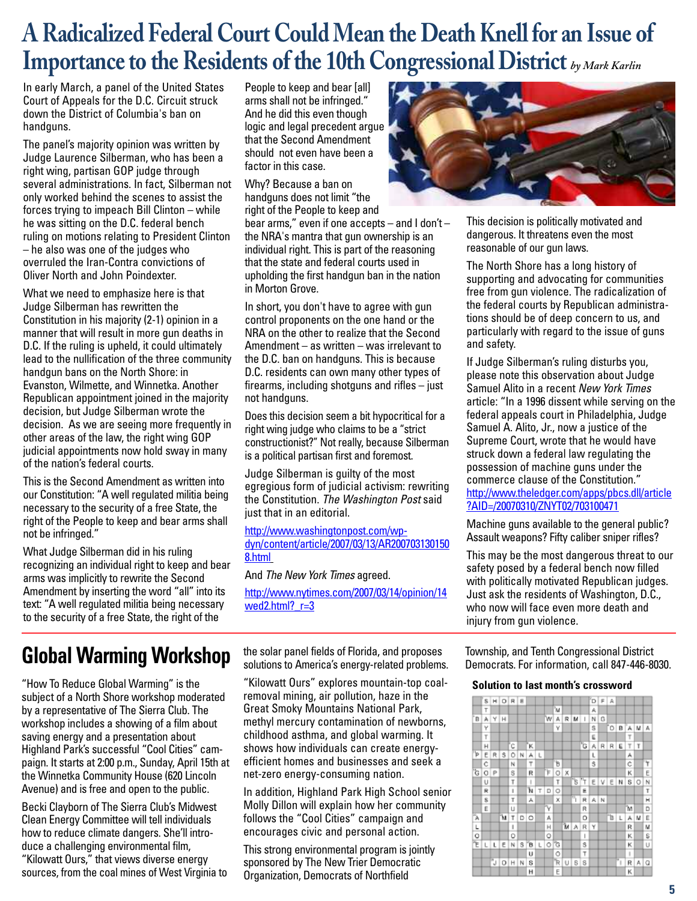## **A Radicalized Federal Court Could Mean the Death Knell for an Issue of Importance to the Residents of the 10th Congressional District** *by Mark Karlin*

In early March, a panel of the United States Court of Appeals for the D.C. Circuit struck down the District of Columbia's ban on handguns.

The panel's majority opinion was written by Judge Laurence Silberman, who has been a right wing, partisan GOP judge through several administrations. In fact, Silberman not only worked behind the scenes to assist the forces trying to impeach Bill Clinton – while he was sitting on the D.C. federal bench ruling on motions relating to President Clinton – he also was one of the judges who overruled the Iran-Contra convictions of Oliver North and John Poindexter.

What we need to emphasize here is that Judge Silberman has rewritten the Constitution in his majority (2-1) opinion in a manner that will result in more gun deaths in D.C. If the ruling is upheld, it could ultimately lead to the nullification of the three community handgun bans on the North Shore: in Evanston, Wilmette, and Winnetka. Another Republican appointment joined in the majority decision, but Judge Silberman wrote the decision. As we are seeing more frequently in other areas of the law, the right wing GOP judicial appointments now hold sway in many of the nation's federal courts.

This is the Second Amendment as written into our Constitution: "A well regulated militia being necessary to the security of a free State, the right of the People to keep and bear arms shall not be infringed."

What Judge Silberman did in his ruling recognizing an individual right to keep and bear arms was implicitly to rewrite the Second Amendment by inserting the word "all" into its text: "A well regulated militia being necessary to the security of a free State, the right of the

People to keep and bear [all] arms shall not be infringed." And he did this even though logic and legal precedent argue that the Second Amendment should not even have been a factor in this case.

Why? Because a ban on handguns does not limit "the right of the People to keep and

bear arms," even if one accepts – and I don't – the NRA's mantra that gun ownership is an individual right. This is part of the reasoning that the state and federal courts used in upholding the first handgun ban in the nation in Morton Grove.

In short, you don't have to agree with gun control proponents on the one hand or the NRA on the other to realize that the Second Amendment – as written – was irrelevant to the D.C. ban on handguns. This is because D.C. residents can own many other types of firearms, including shotguns and rifles – just not handguns.

Does this decision seem a bit hypocritical for a right wing judge who claims to be a "strict constructionist?" Not really, because Silberman is a political partisan first and foremost.

Judge Silberman is guilty of the most egregious form of judicial activism: rewriting the Constitution. *The Washington Post* said just that in an editorial.

[http://www.washingtonpost.com/wp](http://www.washingtonpost.com/wp-dyn/content/article/2007/03/13/AR200703130150)[dyn/content/article/2007/03/13/AR200703130150](http://www.washingtonpost.com/wp-dyn/content/article/2007/03/13/AR200703130150) 8.html

And *The New York Times* agreed.

<http://www.nytimes.com/2007/03/14/opinion/14> wed2.html? r=3

## **Global Warming Workshop**

"How To Reduce Global Warming" is the subject of a North Shore workshop moderated by a representative of The Sierra Club. The workshop includes a showing of a film about saving energy and a presentation about Highland Park's successful "Cool Cities" campaign. It starts at 2:00 p.m., Sunday, April 15th at the Winnetka Community House (620 Lincoln Avenue) and is free and open to the public.

Becki Clayborn of The Sierra Club's Midwest Clean Energy Committee will tell individuals how to reduce climate dangers. She'll introduce a challenging environmental film, "Kilowatt Ours," that views diverse energy sources, from the coal mines of West Virginia to the solar panel fields of Florida, and proposes solutions to America's energy-related problems.

"Kilowatt Ours" explores mountain-top coalremoval mining, air pollution, haze in the Great Smoky Mountains National Park, methyl mercury contamination of newborns, childhood asthma, and global warming. It shows how individuals can create energyefficient homes and businesses and seek a net-zero energy-consuming nation.

In addition, Highland Park High School senior Molly Dillon will explain how her community follows the "Cool Cities" campaign and encourages civic and personal action.

This strong environmental program is jointly sponsored by The New Trier Democratic Organization, Democrats of Northfield



This decision is politically motivated and dangerous. It threatens even the most reasonable of our gun laws.

The North Shore has a long history of supporting and advocating for communities free from gun violence. The radicalization of the federal courts by Republican administrations should be of deep concern to us, and particularly with regard to the issue of guns and safety.

If Judge Silberman's ruling disturbs you, please note this observation about Judge Samuel Alito in a recent *New York Times* article: "In a 1996 dissent while serving on the federal appeals court in Philadelphia, Judge Samuel A. Alito, Jr., now a justice of the Supreme Court, wrote that he would have struck down a federal law regulating the possession of machine guns under the commerce clause of the Constitution." [h](www.theledger.com/apps/pbcs.dll/article?AID=/20070310/ZNYT02/703100471)[ttp://www.theledger.com/apps/pbcs.dll/article](http://www.theledger.com/apps/pbcs.dll/article) ?AID=/20070310/ZNYT02/703100471

Machine guns available to the general public? Assault weapons? Fifty caliber sniper rifles?

This may be the most dangerous threat to our safety posed by a federal bench now filled with politically motivated Republican judges. Just ask the residents of Washington, D.C., who now will face even more death and injury from gun violence.

Township, and Tenth Congressional District Democrats. For information, call 847-446-8030.

#### **Solution to last month's crossword**

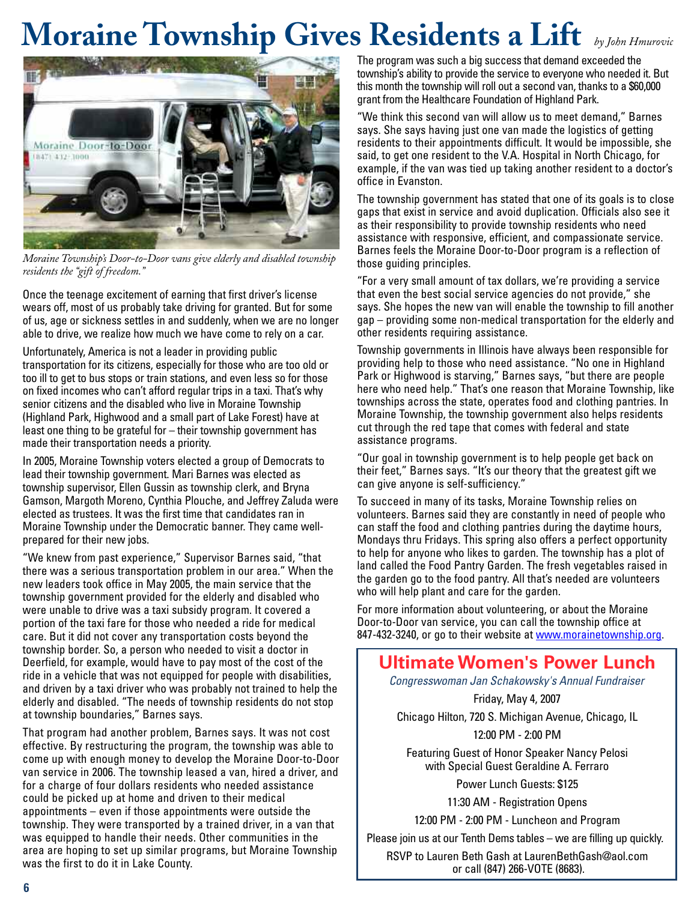# **Moraine Township Gives Residents a Lift** *by John Hmurovic*



*Moraine Township's Door-to-Door vans give elderly and disabled township residents the "gift of freedom."*

Once the teenage excitement of earning that first driver's license wears off, most of us probably take driving for granted. But for some of us, age or sickness settles in and suddenly, when we are no longer able to drive, we realize how much we have come to rely on a car.

Unfortunately, America is not a leader in providing public transportation for its citizens, especially for those who are too old or too ill to get to bus stops or train stations, and even less so for those on fixed incomes who can't afford regular trips in a taxi. That's why senior citizens and the disabled who live in Moraine Township (Highland Park, Highwood and a small part of Lake Forest) have at least one thing to be grateful for – their township government has made their transportation needs a priority.

In 2005, Moraine Township voters elected a group of Democrats to lead their township government. Mari Barnes was elected as township supervisor, Ellen Gussin as township clerk, and Bryna Gamson, Margoth Moreno, Cynthia Plouche, and Jeffrey Zaluda were elected as trustees. It was the first time that candidates ran in Moraine Township under the Democratic banner. They came wellprepared for their new jobs.

"We knew from past experience," Supervisor Barnes said, "that there was a serious transportation problem in our area." When the new leaders took office in May 2005, the main service that the township government provided for the elderly and disabled who were unable to drive was a taxi subsidy program. It covered a portion of the taxi fare for those who needed a ride for medical care. But it did not cover any transportation costs beyond the township border. So, a person who needed to visit a doctor in Deerfield, for example, would have to pay most of the cost of the ride in a vehicle that was not equipped for people with disabilities, and driven by a taxi driver who was probably not trained to help the elderly and disabled. "The needs of township residents do not stop at township boundaries," Barnes says.

That program had another problem, Barnes says. It was not cost effective. By restructuring the program, the township was able to come up with enough money to develop the Moraine Door-to-Door van service in 2006. The township leased a van, hired a driver, and for a charge of four dollars residents who needed assistance could be picked up at home and driven to their medical appointments – even if those appointments were outside the township. They were transported by a trained driver, in a van that was equipped to handle their needs. Other communities in the area are hoping to set up similar programs, but Moraine Township was the first to do it in Lake County.

The program was such a big success that demand exceeded the township's ability to provide the service to everyone who needed it. But this month the township will roll out a second van, thanks to a \$60,000 grant from the Healthcare Foundation of Highland Park.

"We think this second van will allow us to meet demand," Barnes says. She says having just one van made the logistics of getting residents to their appointments difficult. It would be impossible, she said, to get one resident to the V.A. Hospital in North Chicago, for example, if the van was tied up taking another resident to a doctor's office in Evanston.

The township government has stated that one of its goals is to close gaps that exist in service and avoid duplication. Officials also see it as their responsibility to provide township residents who need assistance with responsive, efficient, and compassionate service. Barnes feels the Moraine Door-to-Door program is a reflection of those guiding principles.

"For a very small amount of tax dollars, we're providing a service that even the best social service agencies do not provide," she says. She hopes the new van will enable the township to fill another gap – providing some non-medical transportation for the elderly and other residents requiring assistance.

Township governments in Illinois have always been responsible for providing help to those who need assistance. "No one in Highland Park or Highwood is starving," Barnes says, "but there are people here who need help." That's one reason that Moraine Township, like townships across the state, operates food and clothing pantries. In Moraine Township, the township government also helps residents cut through the red tape that comes with federal and state assistance programs.

"Our goal in township government is to help people get back on their feet," Barnes says. "It's our theory that the greatest gift we can give anyone is self-sufficiency."

To succeed in many of its tasks, Moraine Township relies on volunteers. Barnes said they are constantly in need of people who can staff the food and clothing pantries during the daytime hours, Mondays thru Fridays. This spring also offers a perfect opportunity to help for anyone who likes to garden. The township has a plot of land called the Food Pantry Garden. The fresh vegetables raised in the garden go to the food pantry. All that's needed are volunteers who will help plant and care for the garden.

For more information about volunteering, or about the Moraine Door-to-Door van service, you can call the township office at 847-432-3240, or go to their website at [www.morainetownship.org.](http://www.morainetownship.org)

### **Ultimate Women's Power Lunch**

*Congresswoman Jan Schakowsky's Annual Fundraiser*

Friday, May 4, 2007

Chicago Hilton, 720 S. Michigan Avenue, Chicago, IL 12:00 PM - 2:00 PM

Featuring Guest of Honor Speaker Nancy Pelosi with Special Guest Geraldine A. Ferraro

Power Lunch Guests: \$125

11:30 AM - Registration Opens

12:00 PM - 2:00 PM - Luncheon and Program

Please join us at our Tenth Dems tables – we are filling up quickly.

RSVP to Lauren Beth Gash at [LaurenBethGash@aol.com](mailto:LaurenBethGash@aol.com) or call (847) 266-VOTE (8683).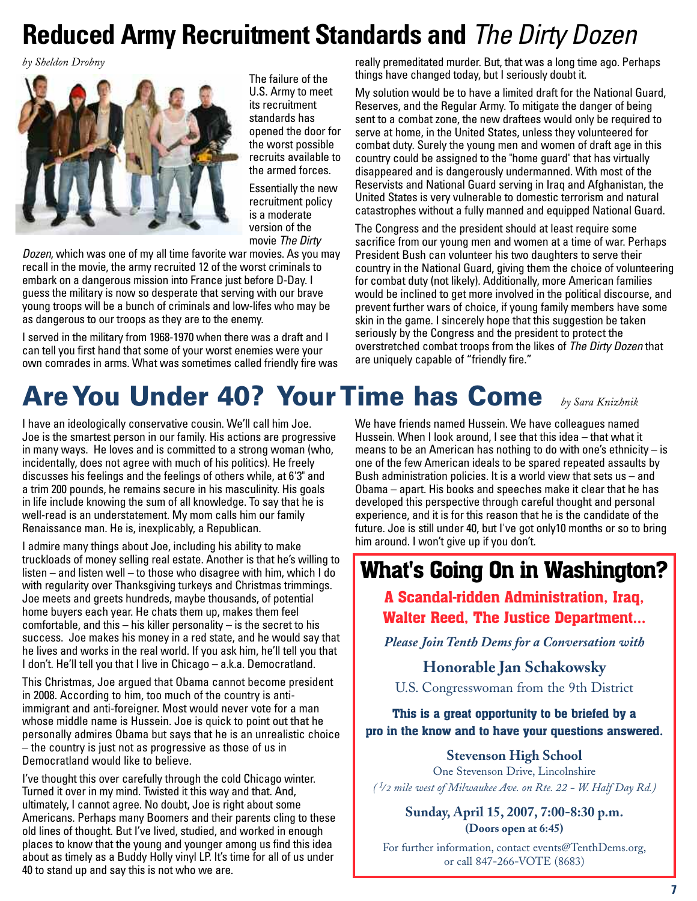## **Reduced Army Recruitment Standards and** *The Dirty Dozen*

*by Sheldon Drobny*



The failure of the U.S. Army to meet its recruitment standards has opened the door for the worst possible recruits available to the armed forces.

Essentially the new recruitment policy is a moderate version of the movie *The Dirty*

*Dozen*, which was one of my all time favorite war movies. As you may recall in the movie, the army recruited 12 of the worst criminals to embark on a dangerous mission into France just before D-Day. I guess the military is now so desperate that serving with our brave young troops will be a bunch of criminals and low-lifes who may be as dangerous to our troops as they are to the enemy.

I served in the military from 1968-1970 when there was a draft and I can tell you first hand that some of your worst enemies were your own comrades in arms. What was sometimes called friendly fire was really premeditated murder. But, that was a long time ago. Perhaps things have changed today, but I seriously doubt it.

My solution would be to have a limited draft for the National Guard, Reserves, and the Regular Army. To mitigate the danger of being sent to a combat zone, the new draftees would only be required to serve at home, in the United States, unless they volunteered for combat duty. Surely the young men and women of draft age in this country could be assigned to the "home guard" that has virtually disappeared and is dangerously undermanned. With most of the Reservists and National Guard serving in Iraq and Afghanistan, the United States is very vulnerable to domestic terrorism and natural catastrophes without a fully manned and equipped National Guard.

The Congress and the president should at least require some sacrifice from our young men and women at a time of war. Perhaps President Bush can volunteer his two daughters to serve their country in the National Guard, giving them the choice of volunteering for combat duty (not likely). Additionally, more American families would be inclined to get more involved in the political discourse, and prevent further wars of choice, if young family members have some skin in the game. I sincerely hope that this suggestion be taken seriously by the Congress and the president to protect the overstretched combat troops from the likes of *The Dirty Dozen* that are uniquely capable of "friendly fire."

## **Are You Under 40? Your Time has Come** *by Sara Knizhnik*

I have an ideologically conservative cousin. We'll call him Joe. Joe is the smartest person in our family. His actions are progressive in many ways. He loves and is committed to a strong woman (who, incidentally, does not agree with much of his politics). He freely discusses his feelings and the feelings of others while, at 6'3" and a trim 200 pounds, he remains secure in his masculinity. His goals in life include knowing the sum of all knowledge. To say that he is well-read is an understatement. My mom calls him our family Renaissance man. He is, inexplicably, a Republican.

I admire many things about Joe, including his ability to make truckloads of money selling real estate. Another is that he's willing to listen – and listen well – to those who disagree with him, which I do with regularity over Thanksgiving turkeys and Christmas trimmings. Joe meets and greets hundreds, maybe thousands, of potential home buyers each year. He chats them up, makes them feel comfortable, and this  $-$  his killer personality  $-$  is the secret to his success. Joe makes his money in a red state, and he would say that he lives and works in the real world. If you ask him, he'll tell you that I don't. He'll tell you that I live in Chicago – a.k.a. Democratland.

This Christmas, Joe argued that Obama cannot become president in 2008. According to him, too much of the country is antiimmigrant and anti-foreigner. Most would never vote for a man whose middle name is Hussein. Joe is quick to point out that he personally admires Obama but says that he is an unrealistic choice – the country is just not as progressive as those of us in Democratland would like to believe.

I've thought this over carefully through the cold Chicago winter. Turned it over in my mind. Twisted it this way and that. And, ultimately, I cannot agree. No doubt, Joe is right about some Americans. Perhaps many Boomers and their parents cling to these old lines of thought. But I've lived, studied, and worked in enough places to know that the young and younger among us find this idea about as timely as a Buddy Holly vinyl LP. It's time for all of us under 40 to stand up and say this is not who we are.

We have friends named Hussein. We have colleagues named Hussein. When I look around, I see that this idea – that what it means to be an American has nothing to do with one's ethnicity  $-$  is one of the few American ideals to be spared repeated assaults by Bush administration policies. It is a world view that sets  $us - and$ Obama – apart. His books and speeches make it clear that he has developed this perspective through careful thought and personal experience, and it is for this reason that he is the candidate of the future. Joe is still under 40, but I've got only10 months or so to bring him around. I won't give up if you don't.

## **What's Going On in Washington?**

**A Scandal-ridden Administration, Iraq, Walter Reed, The Justice Department…**

*Please Join Tenth Dems for a Conversation with*

**Honorable Jan Schakowsky** U.S. Congresswoman from the 9th District

**This is a great opportunity to be briefed by a pro in the know and to have your questions answered.**

#### **Stevenson High School**

One Stevenson Drive, Lincolnshire *( 1 ⁄ 2 mile west of Milwaukee Ave. on Rte. 22 - W. Half Day Rd.)*

> **Sunday, April 15, 2007, 7:00-8:30 p.m. (Doors open at 6:45)**

For further information, contact [events@TenthDems.org,](mailto:events@TenthDems.org) or call 847-266-VOTE (8683)